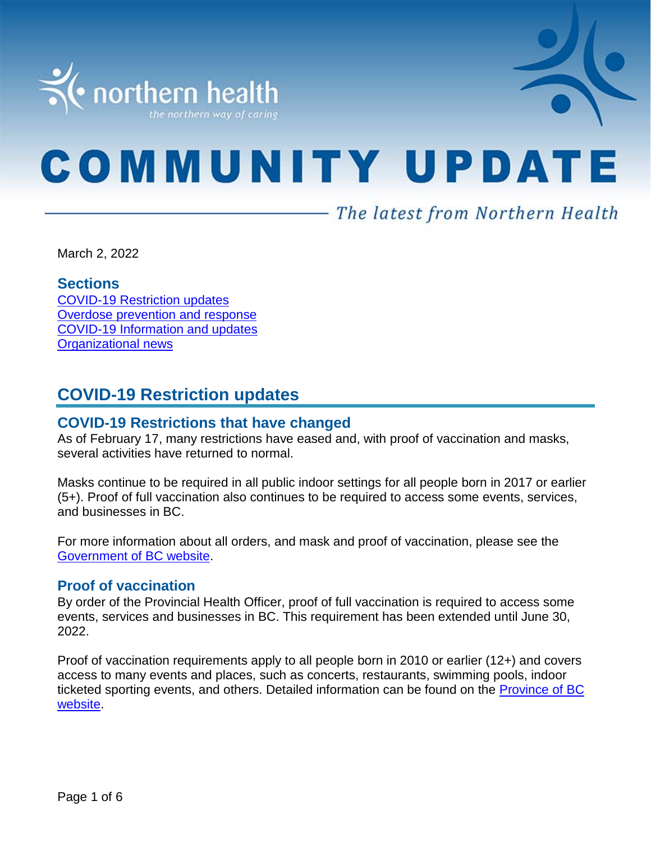

# **COMMUNITY UPDATE**

# - The latest from Northern Health

March 2, 2022

#### **Sections**

COVID-19 [Restriction updates](#page-0-0) [Overdose prevention and response](#page-1-0) [COVID-19 Information and updates](#page-1-0) [Organizational news](#page-5-0)

# <span id="page-0-0"></span>**COVID-19 Restriction updates**

#### **COVID-19 Restrictions that have changed**

As of February 17, many restrictions have eased and, with proof of vaccination and masks, several activities have returned to normal.

Masks continue to be required in all public indoor settings for all people born in 2017 or earlier (5+). Proof of full vaccination also continues to be required to access some events, services, and businesses in BC.

For more information about all orders, and mask and proof of vaccination, please see the [Government of BC website.](https://www2.gov.bc.ca/gov/content/covid-19/info/restrictions#changes)

#### **Proof of vaccination**

By order of the Provincial Health Officer, proof of full vaccination is required to access some events, services and businesses in BC. This requirement has been extended until June 30, 2022.

Proof of vaccination requirements apply to all people born in 2010 or earlier (12+) and covers access to many events and places, such as concerts, restaurants, swimming pools, indoor ticketed sporting events, and others. Detailed information can be found on the [Province of BC](https://www2.gov.bc.ca/gov/content/covid-19/vaccine/proof)  [website.](https://www2.gov.bc.ca/gov/content/covid-19/vaccine/proof)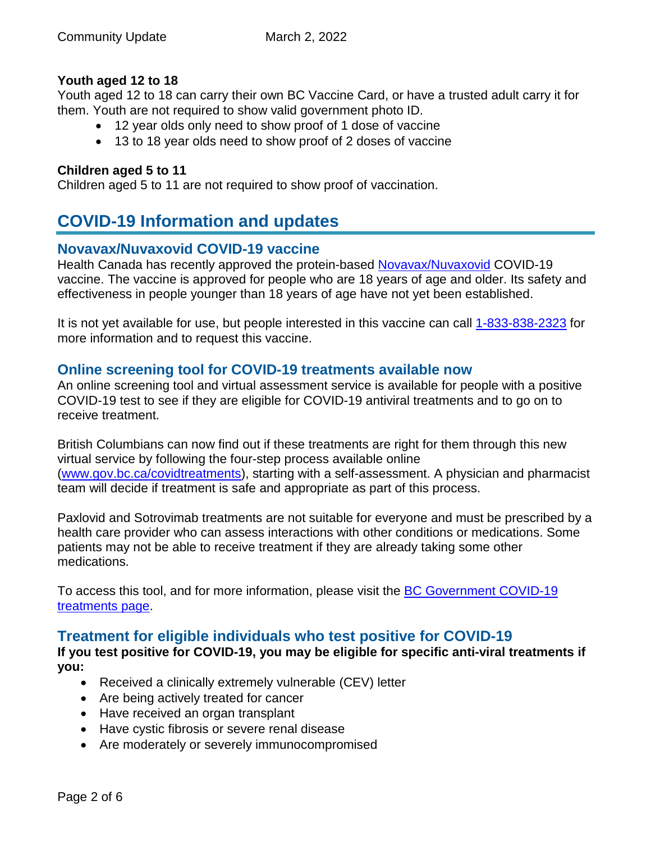#### **Youth aged 12 to 18**

Youth aged 12 to 18 can carry their own BC Vaccine Card, or have a trusted adult carry it for them. Youth are not required to show valid government photo ID.

- 12 year olds only need to show proof of 1 dose of vaccine
- 13 to 18 year olds need to show proof of 2 doses of vaccine

#### **Children aged 5 to 11**

<span id="page-1-0"></span>Children aged 5 to 11 are not required to show proof of vaccination.

# **COVID-19 Information and updates**

#### **Novavax/Nuvaxovid COVID-19 vaccine**

Health Canada has recently approved the protein-based [Novavax/Nuvaxovid](https://www.canada.ca/en/health-canada/services/drugs-health-products/covid19-industry/drugs-vaccines-treatments/vaccines/novavax.html) COVID-19 vaccine. The vaccine is approved for people who are 18 years of age and older. Its safety and effectiveness in people younger than 18 years of age have not yet been established.

It is not yet available for use, but people interested in this vaccine can call [1-833-838-2323](https://www2.gov.bc.ca/gov/content/covid-19/vaccine) for more information and to request this vaccine.

#### **Online screening tool for COVID-19 treatments available now**

An online screening tool and virtual assessment service is available for people with a positive COVID-19 test to see if they are eligible for COVID-19 antiviral treatments and to go on to receive treatment.

British Columbians can now find out if these treatments are right for them through this new virtual service by following the four-step process available online [\(www.gov.bc.ca/covidtreatments\)](http://www.gov.bc.ca/covidtreatments), starting with a self-assessment. A physician and pharmacist team will decide if treatment is safe and appropriate as part of this process.

Paxlovid and Sotrovimab treatments are not suitable for everyone and must be prescribed by a health care provider who can assess interactions with other conditions or medications. Some patients may not be able to receive treatment if they are already taking some other medications.

To access this tool, and for more information, please visit the [BC Government COVID-19](http://www.gov.bc.ca/covidtreatments)  [treatments page.](http://www.gov.bc.ca/covidtreatments)

# **Treatment for eligible individuals who test positive for COVID-19**

**If you test positive for COVID-19, you may be eligible for specific anti-viral treatments if you:** 

- Received a clinically extremely vulnerable (CEV) letter
- Are being actively treated for cancer
- Have received an organ transplant
- Have cystic fibrosis or severe renal disease
- Are moderately or severely immunocompromised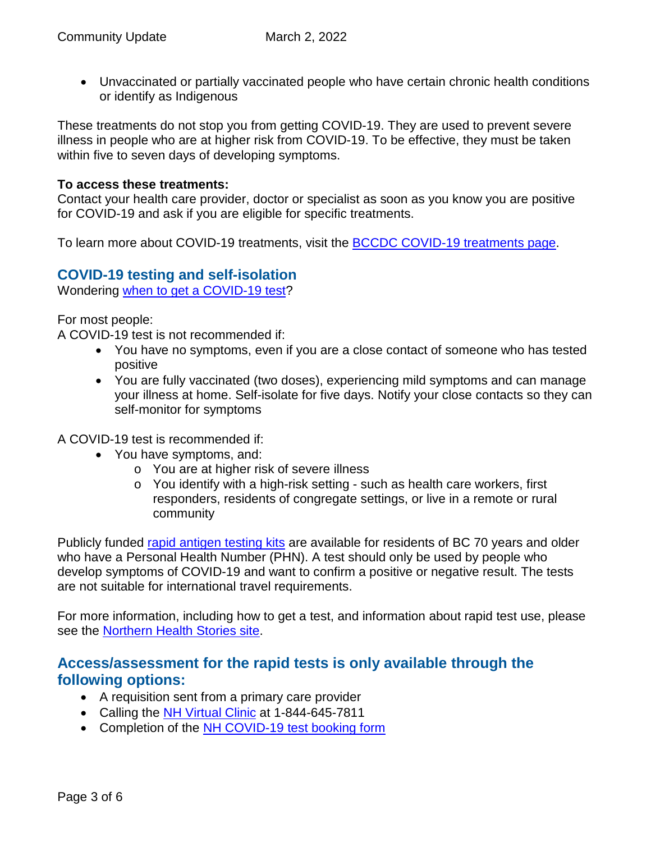• Unvaccinated or partially vaccinated people who have certain chronic health conditions or identify as Indigenous

These treatments do not stop you from getting COVID-19. They are used to prevent severe illness in people who are at higher risk from COVID-19. To be effective, they must be taken within five to seven days of developing symptoms.

#### **To access these treatments:**

Contact your health care provider, doctor or specialist as soon as you know you are positive for COVID-19 and ask if you are eligible for specific treatments.

To learn more about COVID-19 treatments, visit the **BCCDC COVID-19** treatments page.

## **COVID-19 testing and self-isolation**

Wondering [when to get a COVID-19 test?](https://bc.thrive.health/)

For most people:

A COVID-19 test is not recommended if:

- You have no symptoms, even if you are a close contact of someone who has tested positive
- You are fully vaccinated (two doses), experiencing mild symptoms and can manage your illness at home. Self-isolate for five days. Notify your close contacts so they can self-monitor for symptoms

A COVID-19 test is recommended if:

- You have symptoms, and:
	- o You are at higher risk of severe illness
	- o You identify with a high-risk setting such as health care workers, first responders, residents of congregate settings, or live in a remote or rural community

Publicly funded [rapid antigen testing kits](https://www2.gov.bc.ca/gov/content/covid-19/info/testing) are available for residents of BC 70 years and older who have a Personal Health Number (PHN). A test should only be used by people who develop symptoms of COVID-19 and want to confirm a positive or negative result. The tests are not suitable for international travel requirements.

For more information, including how to get a test, and information about rapid test use, please see the [Northern Health Stories site.](https://stories.northernhealth.ca/news/when-get-covid-19-test-updated-guidelines)

# **Access/assessment for the rapid tests is only available through the following options:**

- A requisition sent from a primary care provider
- Calling the [NH Virtual Clinic](https://www.northernhealth.ca/locations/medical-clinics/virtual-clinic) at 1-844-645-7811
- Completion of the [NH COVID-19 test booking](https://northernhealthcovid.secureform.ca/index.php) form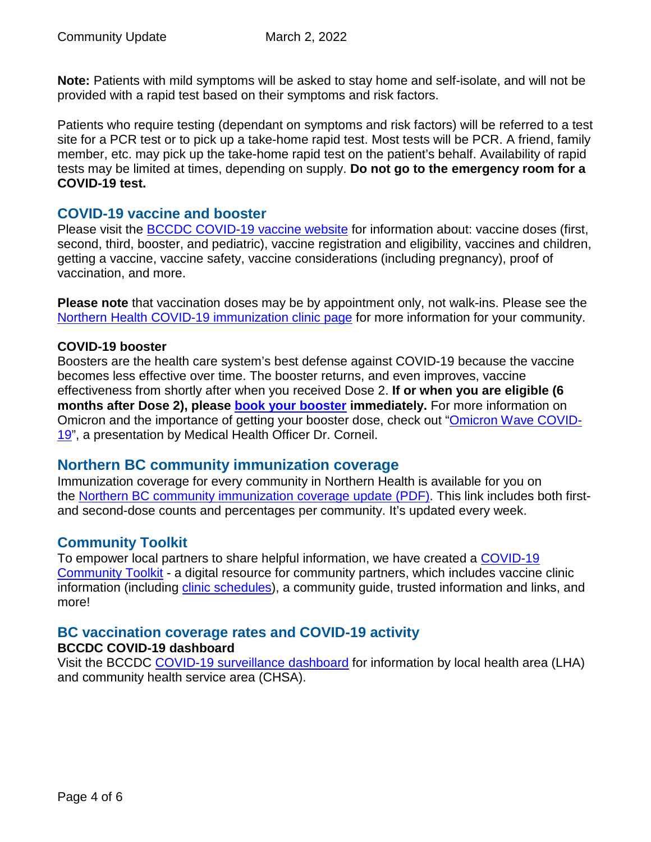**Note:** Patients with mild symptoms will be asked to stay home and self-isolate, and will not be provided with a rapid test based on their symptoms and risk factors.

Patients who require testing (dependant on symptoms and risk factors) will be referred to a test site for a PCR test or to pick up a take-home rapid test. Most tests will be PCR. A friend, family member, etc. may pick up the take-home rapid test on the patient's behalf. Availability of rapid tests may be limited at times, depending on supply. **Do not go to the emergency room for a COVID-19 test.**

#### **COVID-19 vaccine and booster**

Please visit the [BCCDC COVID-19 vaccine website](http://www.bccdc.ca/health-info/diseases-conditions/covid-19/covid-19-vaccine) for information about: vaccine doses (first, second, third, booster, and pediatric), vaccine registration and eligibility, vaccines and children, getting a vaccine, vaccine safety, vaccine considerations (including pregnancy), proof of vaccination, and more.

**Please note** that vaccination doses may be by appointment only, not walk-ins. Please see the [Northern Health COVID-19 immunization clinic page](https://www.northernhealth.ca/health-topics/covid-19-immunization-clinics) for more information for your community.

#### **COVID-19 booster**

Boosters are the health care system's best defense against COVID-19 because the vaccine becomes less effective over time. The booster returns, and even improves, vaccine effectiveness from shortly after when you received Dose 2. **If or when you are eligible (6 months after Dose 2), please [book your booster](https://www.getvaccinated.gov.bc.ca/s/) immediately.** For more information on Omicron and the importance of getting your booster dose, check out ["Omicron Wave COVID-](https://youtu.be/Dm_lvD2_wEg)[19"](https://youtu.be/Dm_lvD2_wEg), a presentation by Medical Health Officer Dr. Corneil.

# **Northern BC community immunization coverage**

Immunization coverage for every community in Northern Health is available for you on the [Northern BC community immunization coverage update](https://www.northernhealth.ca/sites/northern_health/files/health-information/health-topics/vaccine/documents/northern-bc-immunization-coverage.pdf) (PDF). This link includes both firstand second-dose counts and percentages per community. It's updated every week.

# **Community Toolkit**

To empower local partners to share helpful information, we have created a COVID-19 [Community Toolkit](https://www.northernhealth.ca/health-topics/covid-19-vaccine-plan/covid-19-community-toolkit) - a digital resource for community partners, which includes vaccine clinic information (including [clinic schedules\)](https://www.northernhealth.ca/health-topics/covid-19-immunization-clinics), a community guide, trusted information and links, and more!

#### **BC vaccination coverage rates and COVID-19 activity BCCDC COVID-19 dashboard**

Visit the BCCDC [COVID-19 surveillance dashboard](https://public.tableau.com/app/profile/bccdc/viz/BCCDCCOVID-19SurveillanceDashboard/Introduction) for information by local health area (LHA) and community health service area (CHSA).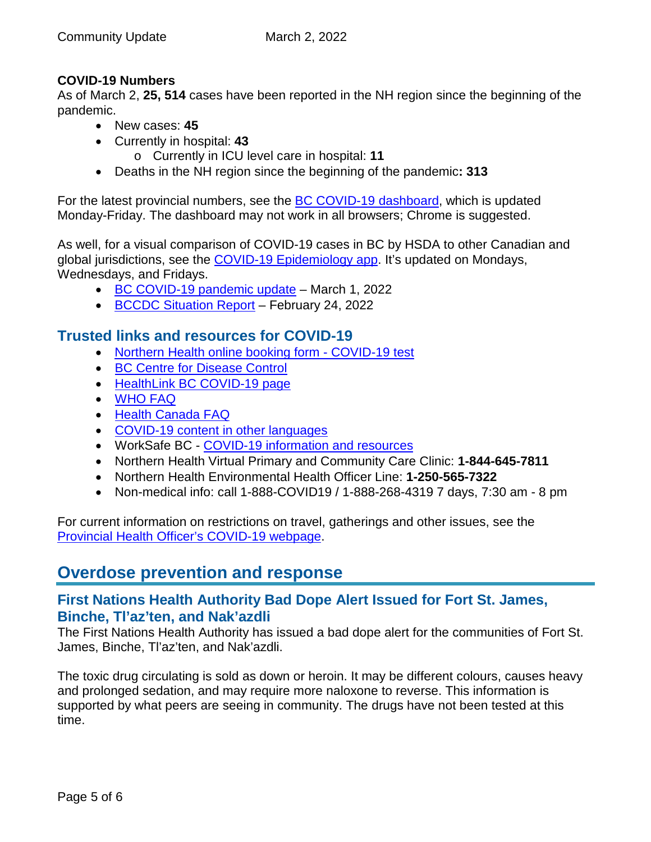#### **COVID-19 Numbers**

As of March 2, **25, 514** cases have been reported in the NH region since the beginning of the pandemic.

- New cases: **45**
- Currently in hospital: **43**
	- o Currently in ICU level care in hospital: **11**
- Deaths in the NH region since the beginning of the pandemic**: 313**

For the latest provincial numbers, see the [BC COVID-19 dashboard,](https://experience.arcgis.com/experience/a6f23959a8b14bfa989e3cda29297ded) which is updated Monday-Friday. The dashboard may not work in all browsers; Chrome is suggested.

As well, for a visual comparison of COVID-19 cases in BC by HSDA to other Canadian and global jurisdictions, see the [COVID-19 Epidemiology app.](https://bccdc.shinyapps.io/covid19_global_epi_app/) It's updated on Mondays, Wednesdays, and Fridays.

- [BC COVID-19 pandemic update](https://news.gov.bc.ca/releases/2022HLTH0071-000279) March 1, 2022
- [BCCDC Situation Report](http://www.bccdc.ca/Health-Info-Site/Documents/COVID_sitrep/Week_6_2022_BC_COVID-19_Situation_Report.pdf) February 24, 2022

# **Trusted links and resources for COVID-19**

- [Northern Health online booking form -](https://northernhealthcovid.secureform.ca/index.php) COVID-19 test
- [BC Centre for Disease Control](http://www.bccdc.ca/health-professionals/clinical-resources/covid-19-care)
- [HealthLink BC COVID-19 page](https://www.healthlinkbc.ca/health-feature/coronavirus-disease-covid-19)
- [WHO FAQ](https://www.who.int/news-room/q-a-detail/q-a-coronaviruses)
- [Health Canada FAQ](https://www.canada.ca/en/public-health/services/diseases/2019-novel-coronavirus-infection/canadas-reponse.html)
- [COVID-19 content in other languages](http://www.bccdc.ca/health-info/diseases-conditions/covid-19/about-covid-19/translated-content)
- WorkSafe BC [COVID-19 information and resources](https://www.worksafebc.com/en/covid-19)
- Northern Health Virtual Primary and Community Care Clinic: **1-844-645-7811**
- Northern Health Environmental Health Officer Line: **1-250-565-7322**
- Non-medical info: call 1-888-COVID19 / 1-888-268-4319 7 days, 7:30 am 8 pm

For current information on restrictions on travel, gatherings and other issues, see the [Provincial Health Officer's COVID-19 webpage.](https://www2.gov.bc.ca/gov/content/health/about-bc-s-health-care-system/office-of-the-provincial-health-officer/current-health-topics/covid-19-novel-coronavirus)

# **Overdose prevention and response**

## **First Nations Health Authority Bad Dope Alert Issued for Fort St. James, Binche, Tl'az'ten, and Nak'azdli**

The First Nations Health Authority has issued a bad dope alert for the communities of Fort St. James, Binche, Tl'az'ten, and Nak'azdli.

The toxic drug circulating is sold as down or heroin. It may be different colours, causes heavy and prolonged sedation, and may require more naloxone to reverse. This information is supported by what peers are seeing in community. The drugs have not been tested at this time.